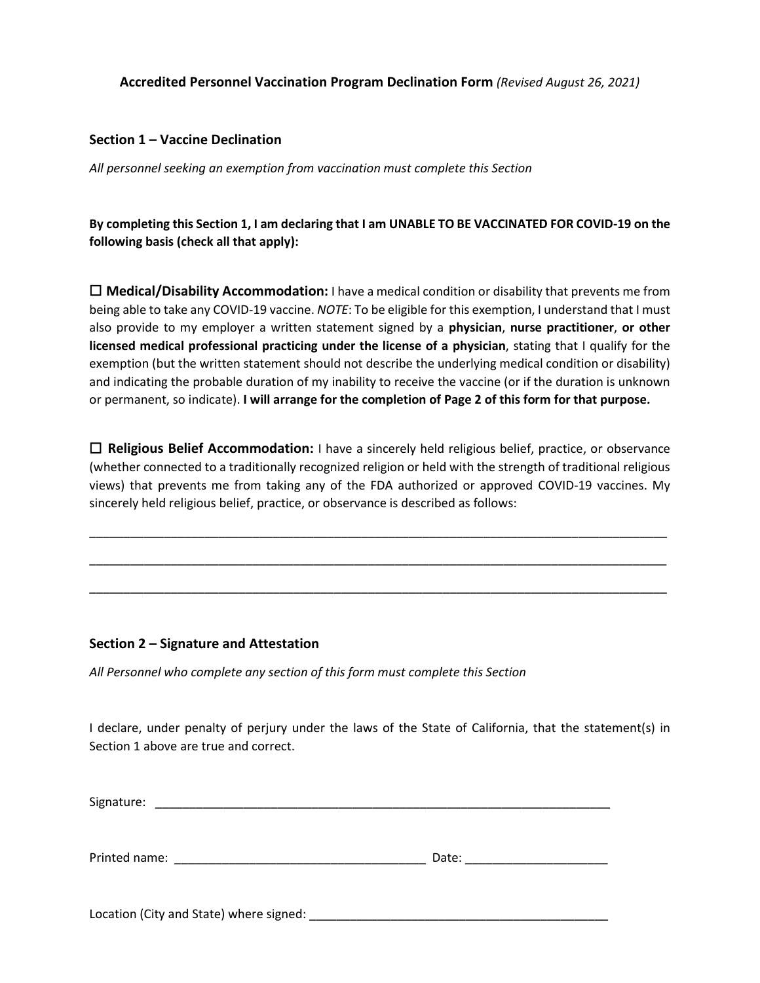# **Accredited Personnel Vaccination Program Declination Form** *(Revised August 26, 2021)*

## **Section 1 – Vaccine Declination**

*All personnel seeking an exemption from vaccination must complete this Section*

**By completing this Section 1, I am declaring that I am UNABLE TO BE VACCINATED FOR COVID-19 on the following basis (check all that apply):** 

☐ **Medical/Disability Accommodation:** I have a medical condition or disability that prevents me from being able to take any COVID-19 vaccine. *NOTE*: To be eligible for this exemption, I understand that I must also provide to my employer a written statement signed by a **physician**, **nurse practitioner**, **or other licensed medical professional practicing under the license of a physician**, stating that I qualify for the exemption (but the written statement should not describe the underlying medical condition or disability) and indicating the probable duration of my inability to receive the vaccine (or if the duration is unknown or permanent, so indicate). **I will arrange for the completion of Page 2 of this form for that purpose.**

☐ **Religious Belief Accommodation:** I have a sincerely held religious belief, practice, or observance (whether connected to a traditionally recognized religion or held with the strength of traditional religious views) that prevents me from taking any of the FDA authorized or approved COVID-19 vaccines. My sincerely held religious belief, practice, or observance is described as follows:

\_\_\_\_\_\_\_\_\_\_\_\_\_\_\_\_\_\_\_\_\_\_\_\_\_\_\_\_\_\_\_\_\_\_\_\_\_\_\_\_\_\_\_\_\_\_\_\_\_\_\_\_\_\_\_\_\_\_\_\_\_\_\_\_\_\_\_\_\_\_\_\_\_\_\_\_\_\_\_\_\_\_\_\_\_

\_\_\_\_\_\_\_\_\_\_\_\_\_\_\_\_\_\_\_\_\_\_\_\_\_\_\_\_\_\_\_\_\_\_\_\_\_\_\_\_\_\_\_\_\_\_\_\_\_\_\_\_\_\_\_\_\_\_\_\_\_\_\_\_\_\_\_\_\_\_\_\_\_\_\_\_\_\_\_\_\_\_\_\_\_

\_\_\_\_\_\_\_\_\_\_\_\_\_\_\_\_\_\_\_\_\_\_\_\_\_\_\_\_\_\_\_\_\_\_\_\_\_\_\_\_\_\_\_\_\_\_\_\_\_\_\_\_\_\_\_\_\_\_\_\_\_\_\_\_\_\_\_\_\_\_\_\_\_\_\_\_\_\_\_\_\_\_\_\_\_

### **Section 2 – Signature and Attestation**

*All Personnel who complete any section of this form must complete this Section*

I declare, under penalty of perjury under the laws of the State of California, that the statement(s) in Section 1 above are true and correct.

Signature: \_\_\_\_\_\_\_\_\_\_\_\_\_\_\_\_\_\_\_\_\_\_\_\_\_\_\_\_\_\_\_\_\_\_\_\_\_\_\_\_\_\_\_\_\_\_\_\_\_\_\_\_\_\_\_\_\_\_\_\_\_\_\_\_\_\_\_

| Printed name: | Date: |  |
|---------------|-------|--|
|               |       |  |

Location (City and State) where signed:  $\blacksquare$